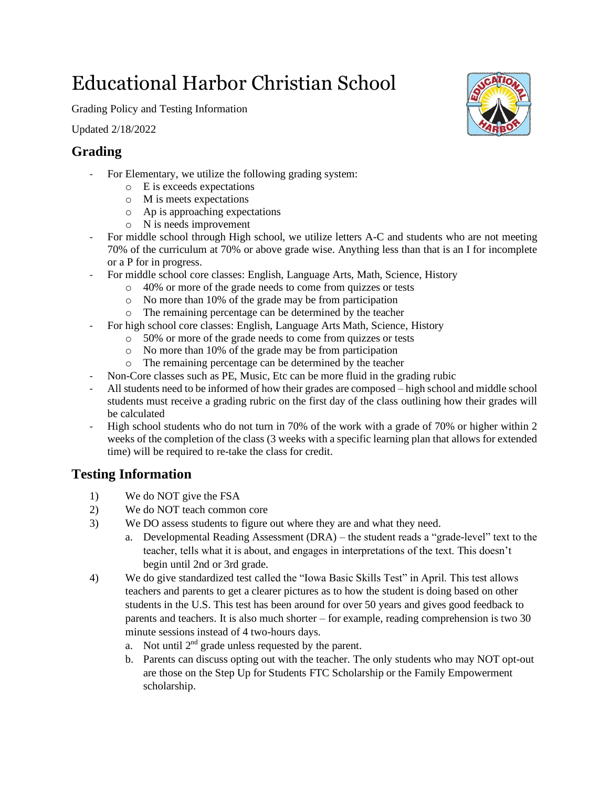# Educational Harbor Christian School

Grading Policy and Testing Information

Updated 2/18/2022

## **Grading**

- For Elementary, we utilize the following grading system:
	- o E is exceeds expectations
	- o M is meets expectations
	- o Ap is approaching expectations
	- o N is needs improvement
- For middle school through High school, we utilize letters A-C and students who are not meeting 70% of the curriculum at 70% or above grade wise. Anything less than that is an I for incomplete or a P for in progress.
- For middle school core classes: English, Language Arts, Math, Science, History
	- o 40% or more of the grade needs to come from quizzes or tests
		- o No more than 10% of the grade may be from participation
	- o The remaining percentage can be determined by the teacher
	- For high school core classes: English, Language Arts Math, Science, History
		- o 50% or more of the grade needs to come from quizzes or tests
		- o No more than 10% of the grade may be from participation
		- o The remaining percentage can be determined by the teacher
- Non-Core classes such as PE, Music, Etc can be more fluid in the grading rubic
- All students need to be informed of how their grades are composed high school and middle school students must receive a grading rubric on the first day of the class outlining how their grades will be calculated
- High school students who do not turn in 70% of the work with a grade of 70% or higher within 2 weeks of the completion of the class (3 weeks with a specific learning plan that allows for extended time) will be required to re-take the class for credit.

### **Testing Information**

- 1) We do NOT give the FSA
- 2) We do NOT teach common core
- 3) We DO assess students to figure out where they are and what they need.
	- a. Developmental Reading Assessment (DRA) the student reads a "grade-level" text to the teacher, tells what it is about, and engages in interpretations of the text. This doesn't begin until 2nd or 3rd grade.
- 4) We do give standardized test called the "Iowa Basic Skills Test" in April. This test allows teachers and parents to get a clearer pictures as to how the student is doing based on other students in the U.S. This test has been around for over 50 years and gives good feedback to parents and teachers. It is also much shorter – for example, reading comprehension is two 30 minute sessions instead of 4 two-hours days.
	- a. Not until  $2<sup>nd</sup>$  grade unless requested by the parent.
	- b. Parents can discuss opting out with the teacher. The only students who may NOT opt-out are those on the Step Up for Students FTC Scholarship or the Family Empowerment scholarship.